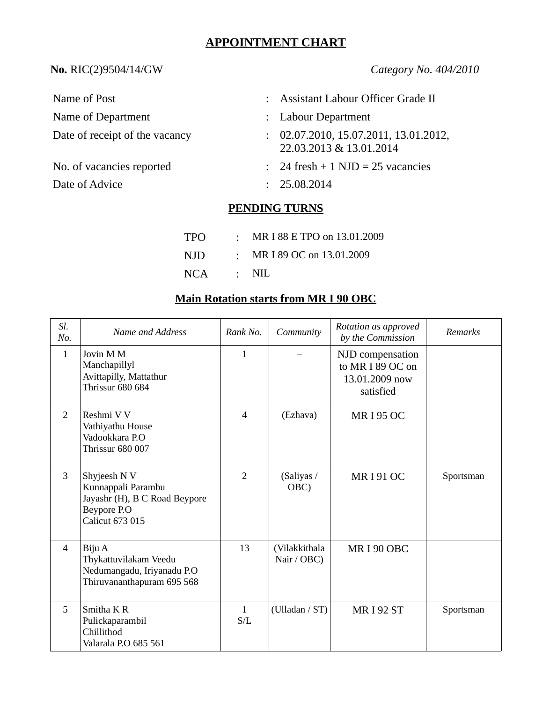# **APPOINTMENT CHART**

### **No.** RIC(2)9504/14/GW *Category No. 404/2010*

| Name of Post                   | : Assistant Labour Officer Grade II                              |
|--------------------------------|------------------------------------------------------------------|
| Name of Department             | : Labour Department                                              |
| Date of receipt of the vacancy | : 02.07.2010, 15.07.2011, 13.01.2012,<br>22.03.2013 & 13.01.2014 |
| No. of vacancies reported      | $\therefore$ 24 fresh + 1 NJD = 25 vacancies                     |
| Date of Advice                 | : 25.08.2014                                                     |

## **PENDING TURNS**

| TPO | : MR I 88 E TPO on 13.01.2009 |
|-----|-------------------------------|
| NJD | : MR I 89 OC on $13.01.2009$  |
| NCA | $\cdot$ NIL                   |

### **Main Rotation starts from MR I 90 OBC**

| Sl.<br>No.     | <b>Name and Address</b>                                                                                      | Rank No.            | Community                    | Rotation as approved<br>by the Commission                           | Remarks   |
|----------------|--------------------------------------------------------------------------------------------------------------|---------------------|------------------------------|---------------------------------------------------------------------|-----------|
| $\mathbf{1}$   | Jovin M M<br>Manchapillyl<br>Avittapilly, Mattathur<br><b>Thrissur 680 684</b>                               | $\mathbf{1}$        |                              | NJD compensation<br>to MR I 89 OC on<br>13.01.2009 now<br>satisfied |           |
| $\overline{2}$ | Reshmi V V<br>Vathiyathu House<br>Vadookkara P.O<br>Thrissur 680 007                                         | $\overline{4}$      | (Ezhava)                     | <b>MRI 95 OC</b>                                                    |           |
| 3              | Shyjeesh N V<br>Kunnappali Parambu<br>Jayashr (H), B C Road Beypore<br>Beypore P.O<br><b>Calicut 673 015</b> | $\overline{2}$      | (Saliyas /<br>OBC)           | <b>MRI91OC</b>                                                      | Sportsman |
| $\overline{4}$ | Biju A<br>Thykattuvilakam Veedu<br>Nedumangadu, Iriyanadu P.O<br>Thiruvananthapuram 695 568                  | 13                  | (Vilakkithala<br>Nair / OBC) | MRI90 OBC                                                           |           |
| 5              | Smitha K R<br>Pulickaparambil<br>Chillithod<br>Valarala P.O 685 561                                          | $\mathbf{1}$<br>S/L | (Ulladan / ST)               | <b>MRI 92 ST</b>                                                    | Sportsman |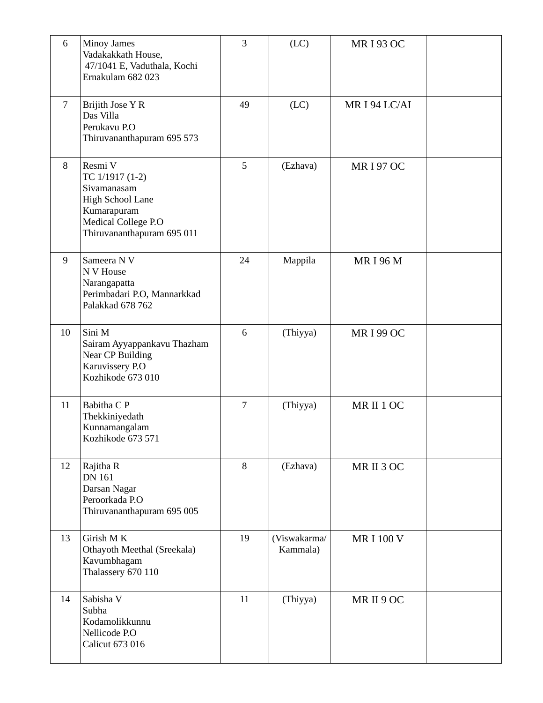| 6  | <b>Minoy James</b><br>Vadakakkath House,<br>47/1041 E, Vaduthala, Kochi<br>Ernakulam 682 023                                             | 3              | (LC)                     | <b>MRI 93 OC</b> |  |
|----|------------------------------------------------------------------------------------------------------------------------------------------|----------------|--------------------------|------------------|--|
| 7  | Brijith Jose Y R<br>Das Villa<br>Perukavu P.O<br>Thiruvananthapuram 695 573                                                              | 49             | (LC)                     | MR I 94 LC/AI    |  |
| 8  | Resmi V<br>TC 1/1917 (1-2)<br>Sivamanasam<br><b>High School Lane</b><br>Kumarapuram<br>Medical College P.O<br>Thiruvananthapuram 695 011 | 5              | (Ezhava)                 | <b>MRI 97 OC</b> |  |
| 9  | Sameera N V<br>N V House<br>Narangapatta<br>Perimbadari P.O, Mannarkkad<br>Palakkad 678 762                                              | 24             | Mappila                  | <b>MRI 96 M</b>  |  |
| 10 | Sini M<br>Sairam Ayyappankavu Thazham<br><b>Near CP Building</b><br>Karuvissery P.O<br>Kozhikode 673 010                                 | 6              | (Thiyya)                 | <b>MRI 99 OC</b> |  |
| 11 | Babitha C P<br>Thekkiniyedath<br>Kunnamangalam<br>Kozhikode 673 571                                                                      | $\overline{7}$ | (Thiyya)                 | MR II 1 OC       |  |
| 12 | Rajitha R<br><b>DN 161</b><br>Darsan Nagar<br>Peroorkada P.O<br>Thiruvananthapuram 695 005                                               | 8              | (Ezhava)                 | MR II 3 OC       |  |
| 13 | Girish MK<br>Othayoth Meethal (Sreekala)<br>Kavumbhagam<br>Thalassery 670 110                                                            | 19             | (Viswakarma/<br>Kammala) | <b>MRI 100 V</b> |  |
| 14 | Sabisha V<br>Subha<br>Kodamolikkunnu<br>Nellicode P.O<br><b>Calicut 673 016</b>                                                          | 11             | (Thiyya)                 | MR II 9 OC       |  |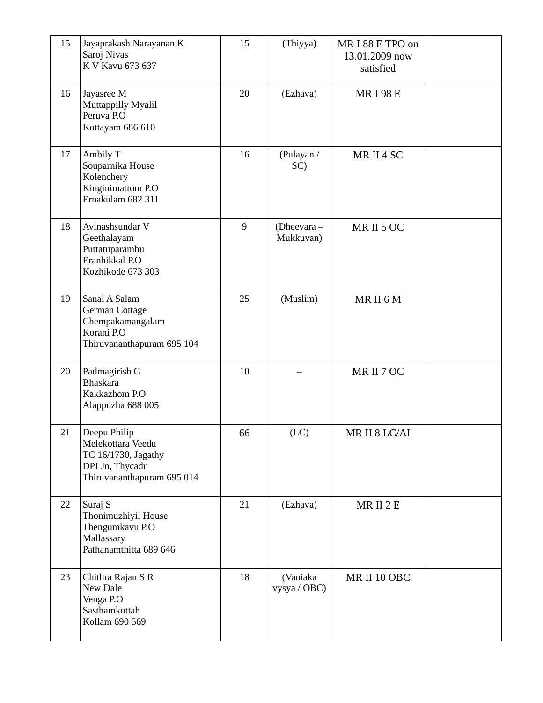| 15 | Jayaprakash Narayanan K<br>Saroj Nivas<br>K V Kavu 673 637                                                | 15    | (Thiyya)                 | MR I 88 E TPO on<br>13.01.2009 now<br>satisfied |  |
|----|-----------------------------------------------------------------------------------------------------------|-------|--------------------------|-------------------------------------------------|--|
| 16 | Jayasree M<br>Muttappilly Myalil<br>Peruva P.O<br>Kottayam 686 610                                        | 20    | (Ezhava)                 | <b>MRI98E</b>                                   |  |
| 17 | Ambily T<br>Souparnika House<br>Kolenchery<br>Kinginimattom P.O<br>Ernakulam 682 311                      | 16    | (Pulayan /<br>SC)        | MR II 4 SC                                      |  |
| 18 | Avinashsundar V<br>Geethalayam<br>Puttatuparambu<br>Eranhikkal P.O<br>Kozhikode 673 303                   | $9\,$ | (Dheevara-<br>Mukkuvan)  | MRII5OC                                         |  |
| 19 | Sanal A Salam<br>German Cottage<br>Chempakamangalam<br>Korani P.O<br>Thiruvananthapuram 695 104           | 25    | (Muslim)                 | MRII6M                                          |  |
| 20 | Padmagirish G<br><b>Bhaskara</b><br>Kakkazhom P.O<br>Alappuzha 688 005                                    | 10    |                          | MR II 7 OC                                      |  |
| 21 | Deepu Philip<br>Melekottara Veedu<br>TC 16/1730, Jagathy<br>DPI Jn, Thycadu<br>Thiruvananthapuram 695 014 | 66    | (LC)                     | MR II 8 LC/AI                                   |  |
| 22 | Suraj S<br>Thonimuzhiyil House<br>Thengumkavu P.O<br>Mallassary<br>Pathanamthitta 689 646                 | 21    | (Ezhava)                 | MRII 2 E                                        |  |
| 23 | Chithra Rajan S R<br>New Dale<br>Venga P.O<br>Sasthamkottah<br>Kollam 690 569                             | 18    | (Vaniaka<br>vysya / OBC) | MR II 10 OBC                                    |  |